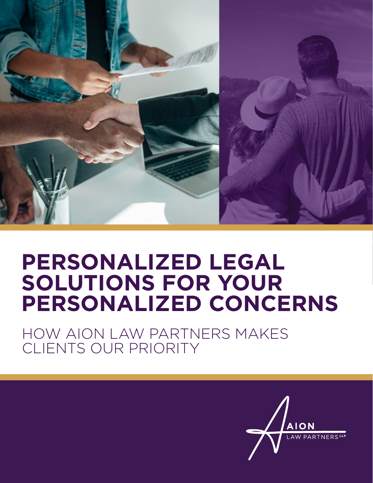

### **PERSONALIZED LEGAL SOLUTIONS FOR YOUR PERSONALIZED CONCERNS**

HOW AION LAW PARTNERS MAKES CLIENTS OUR PRIORITY

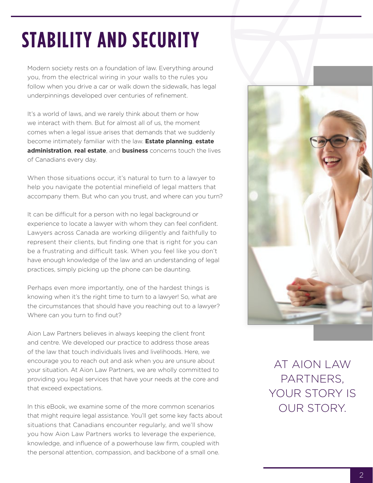## **STABILITY AND SECURITY**

Modern society rests on a foundation of law. Everything around you, from the electrical wiring in your walls to the rules you follow when you drive a car or walk down the sidewalk, has legal underpinnings developed over centuries of refinement.

It's a world of laws, and we rarely think about them or how we interact with them. But for almost all of us, the moment comes when a legal issue arises that demands that we suddenly become intimately familiar with the law. **Estate planning**, **estate administration**, **real estate**, and **business** concerns touch the lives of Canadians every day.

When those situations occur, it's natural to turn to a lawyer to help you navigate the potential minefield of legal matters that accompany them. But who can you trust, and where can you turn?

It can be difficult for a person with no legal background or experience to locate a lawyer with whom they can feel confident. Lawyers across Canada are working diligently and faithfully to represent their clients, but finding one that is right for you can be a frustrating and difficult task. When you feel like you don't have enough knowledge of the law and an understanding of legal practices, simply picking up the phone can be daunting.

Perhaps even more importantly, one of the hardest things is knowing when it's the right time to turn to a lawyer! So, what are the circumstances that should have you reaching out to a lawyer? Where can you turn to find out?

Aion Law Partners believes in always keeping the client front and centre. We developed our practice to address those areas of the law that touch individuals lives and livelihoods. Here, we encourage you to reach out and ask when you are unsure about your situation. At Aion Law Partners, we are wholly committed to providing you legal services that have your needs at the core and that exceed expectations.

In this eBook, we examine some of the more common scenarios that might require legal assistance. You'll get some key facts about situations that Canadians encounter regularly, and we'll show you how Aion Law Partners works to leverage the experience, knowledge, and influence of a powerhouse law firm, coupled with the personal attention, compassion, and backbone of a small one.



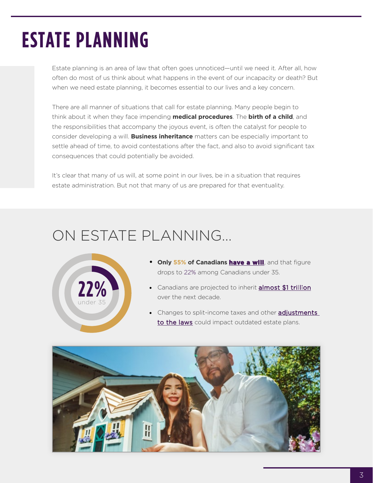## **ESTATE PLANNING**

Estate planning is an area of law that often goes unnoticed—until we need it. After all, how often do most of us think about what happens in the event of our incapacity or death? But when we need estate planning, it becomes essential to our lives and a key concern.

There are all manner of situations that call for estate planning. Many people begin to think about it when they face impending **medical procedures**. The **birth of a child**, and the responsibilities that accompany the joyous event, is often the catalyst for people to consider developing a will. **Business inheritance** matters can be especially important to settle ahead of time, to avoid contestations after the fact, and also to avoid significant tax consequences that could potentially be avoided.

It's clear that many of us will, at some point in our lives, be in a situation that requires estate administration. But not that many of us are prepared for that eventuality.

#### ON ESTATE PLANNING…



- **• Only 55% of Canadians [have a will](https://www.canada.ca/en/financial-consumer-agency/programs/research/canadian-financial-capability-survey-2019.html)**, and that figure drops to 22% among Canadians under 35.
- Canadians are projected to inherit **[almost \\$1 trillion](https://financialpost.com/personal-finance/retirement/canadian-inheritances-could-hit-1-trillion-over-the-next-decade-and-both-bequeathers-and-beneficiaries-need-to-be-ready)** over the next decade.
- Changes to split-income taxes and other **adjustments** [to the laws](https://www.country-guide.ca/guide-business/five-new-trends-in-estate-planning/) could impact outdated estate plans.

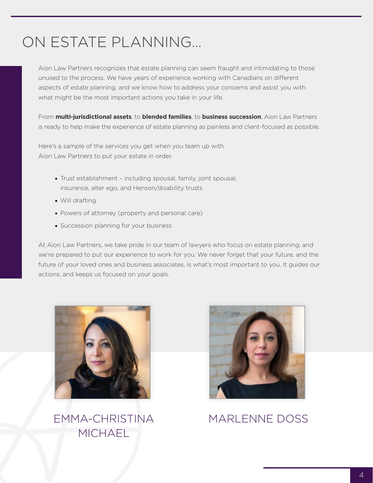#### ON ESTATE PLANNING…

Aion Law Partners recognizes that estate planning can seem fraught and intimidating to those unused to the process. We have years of experience working with Canadians on different aspects of estate planning, and we know how to address your concerns and assist you with what might be the most important actions you take in your life.

From **multi-jurisdictional assets**, to **blended families**, to **business succession**, Aion Law Partners is ready to help make the experience of estate planning as painless and client-focused as possible.

Here's a sample of the services you get when you team up with Aion Law Partners to put your estate in order.

- Trust establishment including spousal, family, joint spousal, insurance, alter ego, and Henson/disability trusts
- Will drafting
- Powers of attorney (property and personal care)
- Succession planning for your business

At Aion Law Partners, we take pride in our team of lawyers who focus on estate planning, and we're prepared to put our experience to work for you. We never forget that your future, and the future of your loved ones and business associates, is what's most important to you. It guides our actions, and keeps us focused on your goals.



[EMMA-CHRISTINA](http://)  **MICHAEL** 



[MARLENNE DOSS](http://)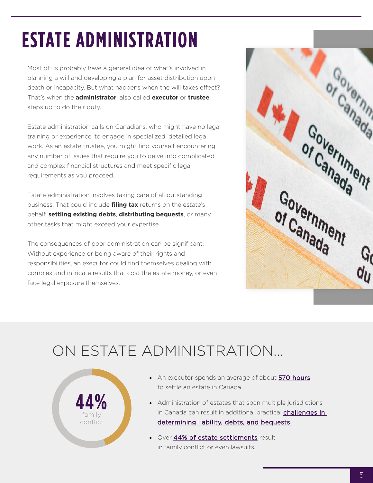# **ESTATE ADMINISTRATION**

Most of us probably have a general idea of what's involved in planning a will and developing a plan for asset distribution upon death or incapacity. But what happens when the will takes effect? That's when the **administrator**, also called **executor** or **trustee**, steps up to do their duty.

Estate administration calls on Canadians, who might have no legal training or experience, to engage in specialized, detailed legal work. As an estate trustee, you might find yourself encountering any number of issues that require you to delve into complicated and complex financial structures and meet specific legal requirements as you proceed.

Estate administration involves taking care of all outstanding business. That could include **filing tax** returns on the estate's behalf, **settling existing debts**, **distributing bequests**, or many other tasks that might exceed your expertise.

The consequences of poor administration can be significant. Without experience or being aware of their rights and responsibilities, an executor could find themselves dealing with complex and intricate results that cost the estate money, or even face legal exposure themselves.



#### ON ESTATE ADMINISTRATION…



- An executor spends an average of about [570 hours](https://www.estateexec.com/ca/Docs/General_Statistics) to settle an estate in Canada.
- [Administration of estates that span multiple jurisdictions](https://www.mondaq.com/canada/wills-intestacy-estate-planning/990742/multijurisdictional-estate-administration-highlights)  in Canada can result in additional practical **challenges in** [determining liability, debts, and bequests.](https://www.mondaq.com/canada/wills-intestacy-estate-planning/990742/multijurisdictional-estate-administration-highlights)
- Over [44% of estate settlements](https://www.estateexec.com/ca/Docs/General_Statistics) result in family conflict or even lawsuits.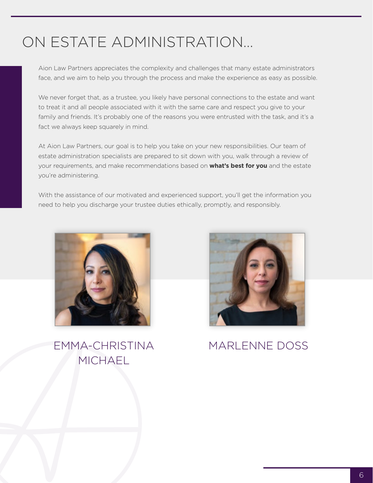#### ON ESTATE ADMINISTRATION…

Aion Law Partners appreciates the complexity and challenges that many estate administrators face, and we aim to help you through the process and make the experience as easy as possible.

We never forget that, as a trustee, you likely have personal connections to the estate and want to treat it and all people associated with it with the same care and respect you give to your family and friends. It's probably one of the reasons you were entrusted with the task, and it's a fact we always keep squarely in mind.

At Aion Law Partners, our goal is to help you take on your new responsibilities. Our team of estate administration specialists are prepared to sit down with you, walk through a review of your requirements, and make recommendations based on **what's best for you** and the estate you're administering.

With the assistance of our motivated and experienced support, you'll get the information you need to help you discharge your trustee duties ethically, promptly, and responsibly.



[EMMA-CHRISTINA](http://)  MICHAEL



[MARLENNE DOSS](http://)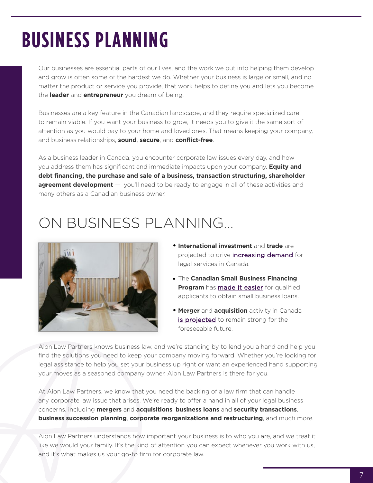## **BUSINESS PLANNING**

Our businesses are essential parts of our lives, and the work we put into helping them develop and grow is often some of the hardest we do. Whether your business is large or small, and no matter the product or service you provide, that work helps to define you and lets you become the **leader** and **entrepreneur** you dream of being.

Businesses are a key feature in the Canadian landscape, and they require specialized care to remain viable. If you want your business to grow, it needs you to give it the same sort of attention as you would pay to your home and loved ones. That means keeping your company, and business relationships, **sound**, **secure**, and **conflict-free**.

As a business leader in Canada, you encounter corporate law issues every day, and how you address them has significant and immediate impacts upon your company. **Equity and debt financing, the purchase and sale of a business, transaction structuring, shareholder agreement development** — you'll need to be ready to engage in all of these activities and many others as a Canadian business owner.

#### ON BUSINESS PLANNING…



- **• International investment** and **trade** are projected to drive *increasing demand* for legal services in Canada.
- The **Canadian Small Business Financing Program** has **[made it easier](https://www.ic.gc.ca/eic/site/csbfp-pfpec.nsf/eng/home)** for qualified applicants to obtain small business loans.
- **• Merger** and **acquisition** activity in Canada [is projected](https://www.globallegalinsights.com/practice-areas/mergers-and-acquisitions-laws-and-regulations/canada) to remain strong for the foreseeable future.

Aion Law Partners knows business law, and we're standing by to lend you a hand and help you find the solutions you need to keep your company moving forward. Whether you're looking for legal assistance to help you set your business up right or want an experienced hand supporting your moves as a seasoned company owner, Aion Law Partners is there for you.

At Aion Law Partners, we know that you need the backing of a law firm that can handle any corporate law issue that arises. We're ready to offer a hand in all of your legal business concerns, including **mergers** and **acquisitions**, **business loans** and **security transactions**, **business succession planning**, **corporate reorganizations and restructuring**, and much more.

Aion Law Partners understands how important your business is to who you are, and we treat it like we would your family. It's the kind of attention you can expect whenever you work with us, and it's what makes us your go-to firm for corporate law.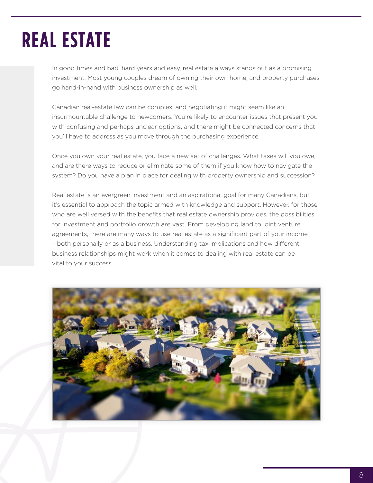## **REAL ESTATE**

In good times and bad, hard years and easy, real estate always stands out as a promising investment. Most young couples dream of owning their own home, and property purchases go hand-in-hand with business ownership as well.

Canadian real-estate law can be complex, and negotiating it might seem like an insurmountable challenge to newcomers. You're likely to encounter issues that present you with confusing and perhaps unclear options, and there might be connected concerns that you'll have to address as you move through the purchasing experience.

Once you own your real estate, you face a new set of challenges. What taxes will you owe, and are there ways to reduce or eliminate some of them if you know how to navigate the system? Do you have a plan in place for dealing with property ownership and succession?

Real estate is an evergreen investment and an aspirational goal for many Canadians, but it's essential to approach the topic armed with knowledge and support. However, for those who are well versed with the benefits that real estate ownership provides, the possibilities for investment and portfolio growth are vast. From developing land to joint venture agreements, there are many ways to use real estate as a significant part of your income – both personally or as a business. Understanding tax implications and how different business relationships might work when it comes to dealing with real estate can be vital to your success.

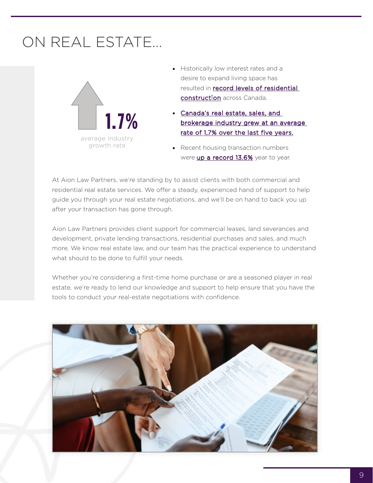#### ON REAL ESTATE…



- Historically low interest rates and a desire to expand living space has resulted in [record levels of residential](https://www150.statcan.gc.ca/n1/daily-quotidien/210506/dq210506b-eng.htm?indid=18843-2&indgeo=0)  [construction](https://www150.statcan.gc.ca/n1/daily-quotidien/210506/dq210506b-eng.htm?indid=18843-2&indgeo=0) across Canada.
- [Canada's real estate, sales, and](https://www.ibisworld.com/canada/market-research-reports/real-estate-sales-brokerage-industry/)  [brokerage industry grew at an average](https://www.ibisworld.com/canada/market-research-reports/real-estate-sales-brokerage-industry/)  [rate of 1.7% over the last five years.](https://www.ibisworld.com/canada/market-research-reports/real-estate-sales-brokerage-industry/)
- Recent housing transaction numbers were [up a record 13.6%](https://creastats.crea.ca/en-CA/) year to year.

At Aion Law Partners, we're standing by to assist clients with both commercial and residential real estate services. We offer a steady, experienced hand of support to help guide you through your real estate negotiations, and we'll be on hand to back you up after your transaction has gone through.

Aion Law Partners provides client support for commercial leases, land severances and development, private lending transactions, residential purchases and sales, and much more. We know real estate law, and our team has the practical experience to understand what should to be done to fulfill your needs.

Whether you're considering a first-time home purchase or are a seasoned player in real estate, we're ready to lend our knowledge and support to help ensure that you have the tools to conduct your real-estate negotiations with confidence.

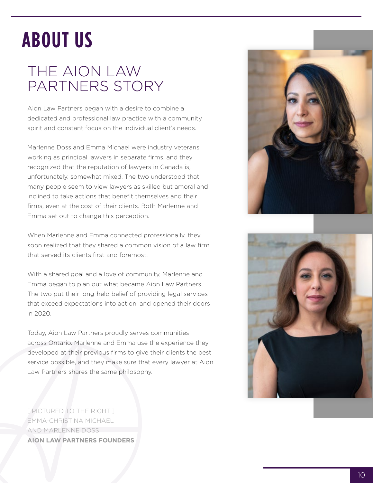### **ABOUT US**

#### THE AION LAW PARTNERS STORY

Aion Law Partners began with a desire to combine a dedicated and professional law practice with a community spirit and constant focus on the individual client's needs.

Marlenne Doss and Emma Michael were industry veterans working as principal lawyers in separate firms, and they recognized that the reputation of lawyers in Canada is, unfortunately, somewhat mixed. The two understood that many people seem to view lawyers as skilled but amoral and inclined to take actions that benefit themselves and their firms, even at the cost of their clients. Both Marlenne and Emma set out to change this perception.

When Marlenne and Emma connected professionally, they soon realized that they shared a common vision of a law firm that served its clients first and foremost.

With a shared goal and a love of community, Marlenne and Emma began to plan out what became Aion Law Partners. The two put their long-held belief of providing legal services that exceed expectations into action, and opened their doors in 2020.

Today, Aion Law Partners proudly serves communities across Ontario. Marlenne and Emma use the experience they developed at their previous firms to give their clients the best service possible, and they make sure that every lawyer at Aion Law Partners shares the same philosophy.





[ PICTURED TO THE RIGHT ] EMMA-CHRISTINA MICHAEL AND MARLENNE DOSS **AION LAW PARTNERS FOUNDERS**